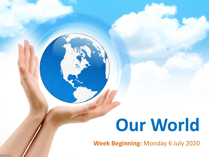# **Our World**

**Week Beginning:** Monday 6 July 2020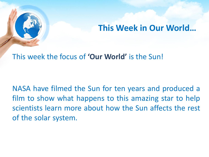

### **This Week in Our World…**

#### This week the focus of **'Our World'** is the Sun!

NASA have filmed the Sun for ten years and produced a film to show what happens to this amazing star to help scientists learn more about how the Sun affects the rest of the solar system.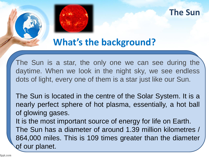



## **What's the background?**

The Sun is a star, the only one we can see during the daytime. When we look in the night sky, we see endless dots of light, every one of them is a star just like our Sun.

The Sun is located in the centre of the Solar System. It is a nearly perfect sphere of hot plasma, essentially, a hot ball of glowing gases. It is the most important source of energy for life on Earth. The Sun has a diameter of around 1.39 million kilometres / 864,000 miles. This is 109 times greater than the diameter of our planet.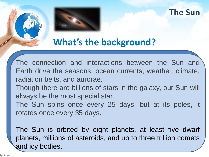

#### **The Sun**

# **What's the background?**

The connection and interactions between the Sun and Earth drive the seasons, ocean currents, weather, climate, radiation belts, and aurorae.

- Though there are billions of stars in the galaxy, our Sun will always be the most special star.
- The Sun spins once every 25 days, but at its poles, it rotates once every 35 days.

The Sun is orbited by eight planets, at least five dwarf planets, millions of asteroids, and up to three trillion comets and icy bodies.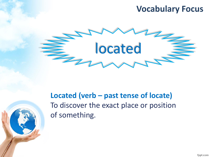#### **Vocabulary Focus**